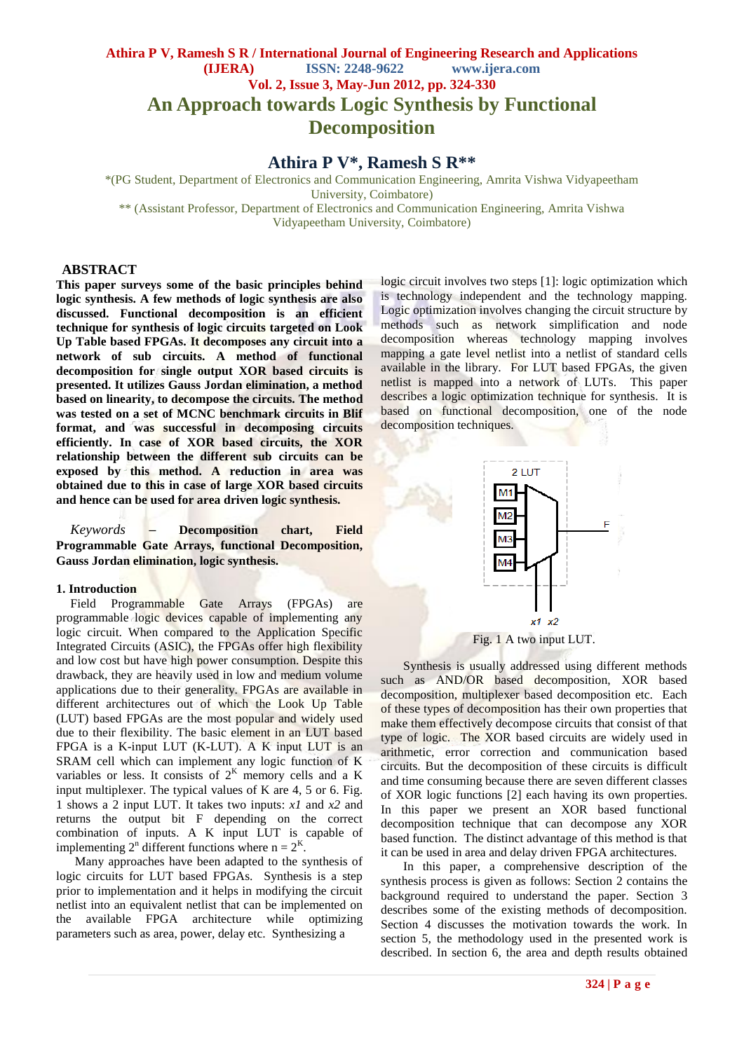# **Athira P V, Ramesh S R / International Journal of Engineering Research and Applications (IJERA) ISSN: 2248-9622 www.ijera.com Vol. 2, Issue 3, May-Jun 2012, pp. 324-330 An Approach towards Logic Synthesis by Functional Decomposition**

# **Athira P V\*, Ramesh S R\*\***

\*(PG Student, Department of Electronics and Communication Engineering, Amrita Vishwa Vidyapeetham University, Coimbatore) \*\* (Assistant Professor, Department of Electronics and Communication Engineering, Amrita Vishwa Vidyapeetham University, Coimbatore)

#### **ABSTRACT**

**This paper surveys some of the basic principles behind logic synthesis. A few methods of logic synthesis are also discussed. Functional decomposition is an efficient technique for synthesis of logic circuits targeted on Look Up Table based FPGAs. It decomposes any circuit into a network of sub circuits. A method of functional decomposition for single output XOR based circuits is presented. It utilizes Gauss Jordan elimination, a method based on linearity, to decompose the circuits. The method was tested on a set of MCNC benchmark circuits in Blif format, and was successful in decomposing circuits efficiently. In case of XOR based circuits, the XOR relationship between the different sub circuits can be exposed by this method. A reduction in area was obtained due to this in case of large XOR based circuits and hence can be used for area driven logic synthesis.**

*Keywords* **– Decomposition chart, Field Programmable Gate Arrays, functional Decomposition, Gauss Jordan elimination, logic synthesis.**

#### **1. Introduction**

Field Programmable Gate Arrays (FPGAs) are programmable logic devices capable of implementing any logic circuit. When compared to the Application Specific Integrated Circuits (ASIC), the FPGAs offer high flexibility and low cost but have high power consumption. Despite this drawback, they are heavily used in low and medium volume applications due to their generality. FPGAs are available in different architectures out of which the Look Up Table (LUT) based FPGAs are the most popular and widely used due to their flexibility. The basic element in an LUT based FPGA is a K-input LUT (K-LUT). A K input LUT is an SRAM cell which can implement any logic function of K variables or less. It consists of  $2<sup>K</sup>$  memory cells and a K input multiplexer. The typical values of K are 4, 5 or 6. Fig. 1 shows a 2 input LUT. It takes two inputs: *x1* and *x2* and returns the output bit F depending on the correct combination of inputs. A K input LUT is capable of implementing  $2^n$  different functions where  $n = 2^K$ .

 Many approaches have been adapted to the synthesis of logic circuits for LUT based FPGAs. Synthesis is a step prior to implementation and it helps in modifying the circuit netlist into an equivalent netlist that can be implemented on the available FPGA architecture while optimizing parameters such as area, power, delay etc. Synthesizing a

logic circuit involves two steps [1]: logic optimization which is technology independent and the technology mapping. Logic optimization involves changing the circuit structure by methods such as network simplification and node decomposition whereas technology mapping involves mapping a gate level netlist into a netlist of standard cells available in the library. For LUT based FPGAs, the given netlist is mapped into a network of LUTs. This paper describes a logic optimization technique for synthesis. It is based on functional decomposition, one of the node decomposition techniques.



Synthesis is usually addressed using different methods such as AND/OR based decomposition, XOR based decomposition, multiplexer based decomposition etc. Each of these types of decomposition has their own properties that make them effectively decompose circuits that consist of that type of logic. The XOR based circuits are widely used in arithmetic, error correction and communication based circuits. But the decomposition of these circuits is difficult and time consuming because there are seven different classes of XOR logic functions [2] each having its own properties. In this paper we present an XOR based functional decomposition technique that can decompose any XOR based function. The distinct advantage of this method is that it can be used in area and delay driven FPGA architectures.

In this paper, a comprehensive description of the synthesis process is given as follows: Section 2 contains the background required to understand the paper. Section 3 describes some of the existing methods of decomposition. Section 4 discusses the motivation towards the work. In section 5, the methodology used in the presented work is described. In section 6, the area and depth results obtained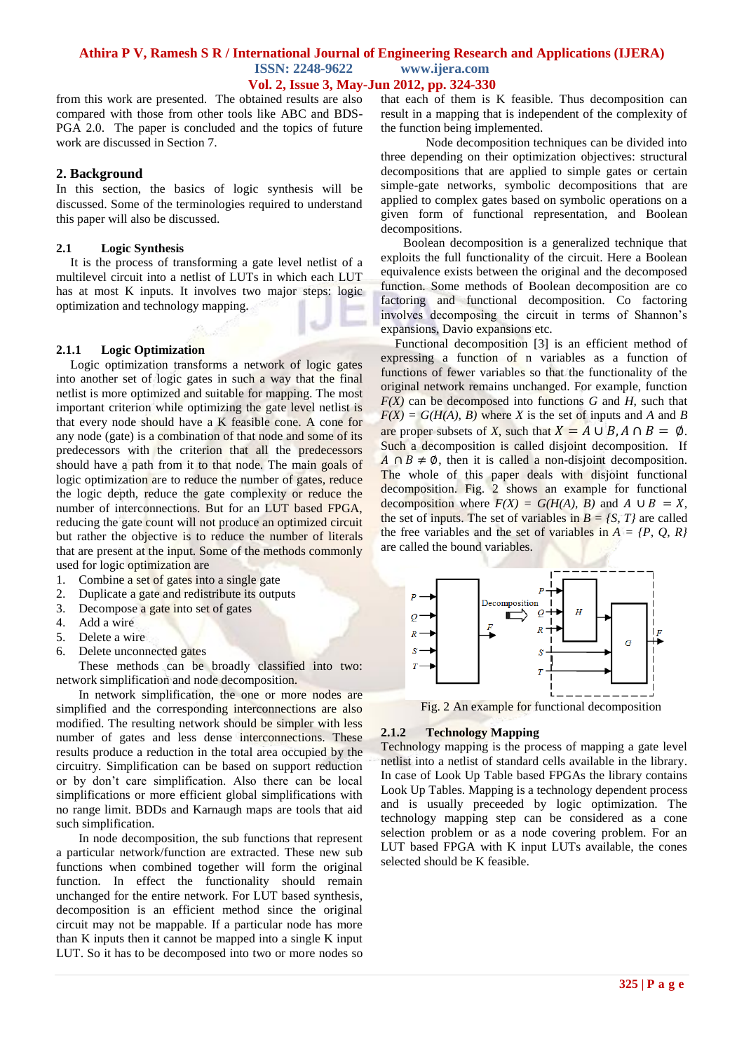#### **Vol. 2, Issue 3, May-Jun 2012, pp. 324-330**

from this work are presented. The obtained results are also compared with those from other tools like ABC and BDS-PGA 2.0. The paper is concluded and the topics of future work are discussed in Section 7.

#### **2. Background**

In this section, the basics of logic synthesis will be discussed. Some of the terminologies required to understand this paper will also be discussed.

#### **2.1 Logic Synthesis**

It is the process of transforming a gate level netlist of a multilevel circuit into a netlist of LUTs in which each LUT has at most K inputs. It involves two major steps: logic optimization and technology mapping.

#### **2.1.1 Logic Optimization**

Logic optimization transforms a network of logic gates into another set of logic gates in such a way that the final netlist is more optimized and suitable for mapping. The most important criterion while optimizing the gate level netlist is that every node should have a K feasible cone. A cone for any node (gate) is a combination of that node and some of its predecessors with the criterion that all the predecessors should have a path from it to that node. The main goals of logic optimization are to reduce the number of gates, reduce the logic depth, reduce the gate complexity or reduce the number of interconnections. But for an LUT based FPGA, reducing the gate count will not produce an optimized circuit but rather the objective is to reduce the number of literals that are present at the input. Some of the methods commonly used for logic optimization are

- 1. Combine a set of gates into a single gate
- 2. Duplicate a gate and redistribute its outputs
- 3. Decompose a gate into set of gates
- 4. Add a wire
- 5. Delete a wire
- 6. Delete unconnected gates

These methods can be broadly classified into two: network simplification and node decomposition.

In network simplification, the one or more nodes are simplified and the corresponding interconnections are also modified. The resulting network should be simpler with less number of gates and less dense interconnections. These results produce a reduction in the total area occupied by the circuitry. Simplification can be based on support reduction or by don't care simplification. Also there can be local simplifications or more efficient global simplifications with no range limit. BDDs and Karnaugh maps are tools that aid such simplification.

In node decomposition, the sub functions that represent a particular network/function are extracted. These new sub functions when combined together will form the original function. In effect the functionality should remain unchanged for the entire network. For LUT based synthesis, decomposition is an efficient method since the original circuit may not be mappable. If a particular node has more than K inputs then it cannot be mapped into a single K input LUT. So it has to be decomposed into two or more nodes so

that each of them is K feasible. Thus decomposition can result in a mapping that is independent of the complexity of the function being implemented.

Node decomposition techniques can be divided into three depending on their optimization objectives: structural decompositions that are applied to simple gates or certain simple-gate networks, symbolic decompositions that are applied to complex gates based on symbolic operations on a given form of functional representation, and Boolean decompositions.

Boolean decomposition is a generalized technique that exploits the full functionality of the circuit. Here a Boolean equivalence exists between the original and the decomposed function. Some methods of Boolean decomposition are co factoring and functional decomposition. Co factoring involves decomposing the circuit in terms of Shannon's expansions, Davio expansions etc.

Functional decomposition [3] is an efficient method of expressing a function of n variables as a function of functions of fewer variables so that the functionality of the original network remains unchanged. For example, function  $F(X)$  can be decomposed into functions *G* and *H*, such that  $F(X) = G(H(A), B)$  where *X* is the set of inputs and *A* and *B* are proper subsets of *X*, such that  $X = A \cup B$ ,  $A \cap B = \emptyset$ . Such a decomposition is called disjoint decomposition. If  $\overline{A} \cap \overline{B} \neq \emptyset$ , then it is called a non-disjoint decomposition. The whole of this paper deals with disjoint functional decomposition. Fig. 2 shows an example for functional decomposition where  $F(X) = G(H(A), B)$  and  $A \cup B = X$ , the set of inputs. The set of variables in  $B = \{S, T\}$  are called the free variables and the set of variables in  $A = \{P, Q, R\}$ are called the bound variables.



Fig. 2 An example for functional decomposition

## **2.1.2 Technology Mapping**

Technology mapping is the process of mapping a gate level netlist into a netlist of standard cells available in the library. In case of Look Up Table based FPGAs the library contains Look Up Tables. Mapping is a technology dependent process and is usually preceeded by logic optimization. The technology mapping step can be considered as a cone selection problem or as a node covering problem. For an LUT based FPGA with K input LUTs available, the cones selected should be K feasible.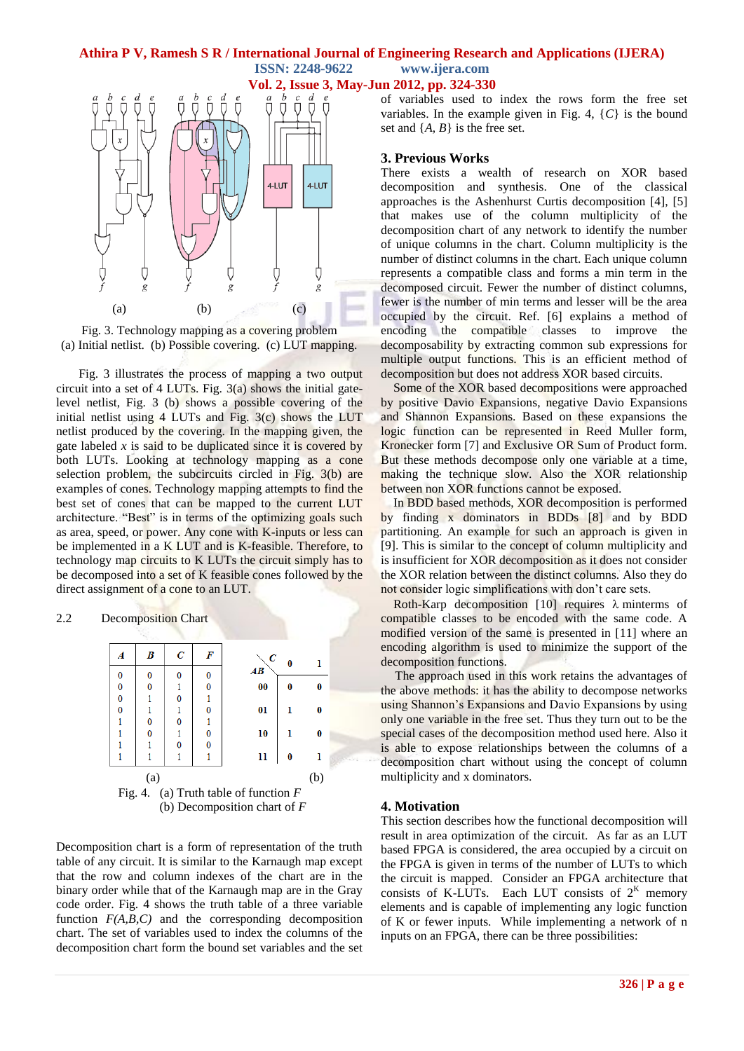



Fig. 3. Technology mapping as a covering problem (a) Initial netlist. (b) Possible covering. (c) LUT mapping.

Fig. 3 illustrates the process of mapping a two output circuit into a set of 4 LUTs. Fig. 3(a) shows the initial gatelevel netlist, Fig. 3 (b) shows a possible covering of the initial netlist using  $4$  LUTs and Fig.  $3(c)$  shows the LUT netlist produced by the covering. In the mapping given, the gate labeled  $x$  is said to be duplicated since it is covered by both LUTs. Looking at technology mapping as a cone selection problem, the subcircuits circled in Fig. 3(b) are examples of cones. Technology mapping attempts to find the best set of cones that can be mapped to the current LUT architecture. "Best" is in terms of the optimizing goals such as area, speed, or power. Any cone with K-inputs or less can be implemented in a K LUT and is K-feasible. Therefore, to technology map circuits to K LUTs the circuit simply has to be decomposed into a set of K feasible cones followed by the direct assignment of a cone to an LUT.





Decomposition chart is a form of representation of the truth table of any circuit. It is similar to the Karnaugh map except that the row and column indexes of the chart are in the binary order while that of the Karnaugh map are in the Gray code order. Fig. 4 shows the truth table of a three variable function  $F(A, B, C)$  and the corresponding decomposition chart. The set of variables used to index the columns of the decomposition chart form the bound set variables and the set of variables used to index the rows form the free set variables. In the example given in Fig. 4, {*C*} is the bound set and  $\{A, B\}$  is the free set.

### **3. Previous Works**

There exists a wealth of research on XOR based decomposition and synthesis. One of the classical approaches is the Ashenhurst Curtis decomposition [4], [5] that makes use of the column multiplicity of the decomposition chart of any network to identify the number of unique columns in the chart. Column multiplicity is the number of distinct columns in the chart. Each unique column represents a compatible class and forms a min term in the decomposed circuit. Fewer the number of distinct columns, fewer is the number of min terms and lesser will be the area occupied by the circuit. Ref. [6] explains a method of encoding the compatible classes to improve the decomposability by extracting common sub expressions for multiple output functions. This is an efficient method of decomposition but does not address XOR based circuits.

Some of the XOR based decompositions were approached by positive Davio Expansions, negative Davio Expansions and Shannon Expansions. Based on these expansions the logic function can be represented in Reed Muller form, Kronecker form [7] and Exclusive OR Sum of Product form. But these methods decompose only one variable at a time, making the technique slow. Also the XOR relationship between non XOR functions cannot be exposed.

In BDD based methods, XOR decomposition is performed by finding x dominators in BDDs [8] and by BDD partitioning. An example for such an approach is given in [9]. This is similar to the concept of column multiplicity and is insufficient for XOR decomposition as it does not consider the XOR relation between the distinct columns. Also they do not consider logic simplifications with don't care sets.

Roth-Karp decomposition [10] requires  $\lambda$  minterms of compatible classes to be encoded with the same code. A modified version of the same is presented in [11] where an encoding algorithm is used to minimize the support of the decomposition functions.

The approach used in this work retains the advantages of the above methods: it has the ability to decompose networks using Shannon's Expansions and Davio Expansions by using only one variable in the free set. Thus they turn out to be the special cases of the decomposition method used here. Also it is able to expose relationships between the columns of a decomposition chart without using the concept of column multiplicity and x dominators.

# **4. Motivation**

This section describes how the functional decomposition will result in area optimization of the circuit. As far as an LUT based FPGA is considered, the area occupied by a circuit on the FPGA is given in terms of the number of LUTs to which the circuit is mapped. Consider an FPGA architecture that consists of K-LUTs. Each LUT consists of  $2<sup>K</sup>$  memory elements and is capable of implementing any logic function of K or fewer inputs. While implementing a network of n inputs on an FPGA, there can be three possibilities: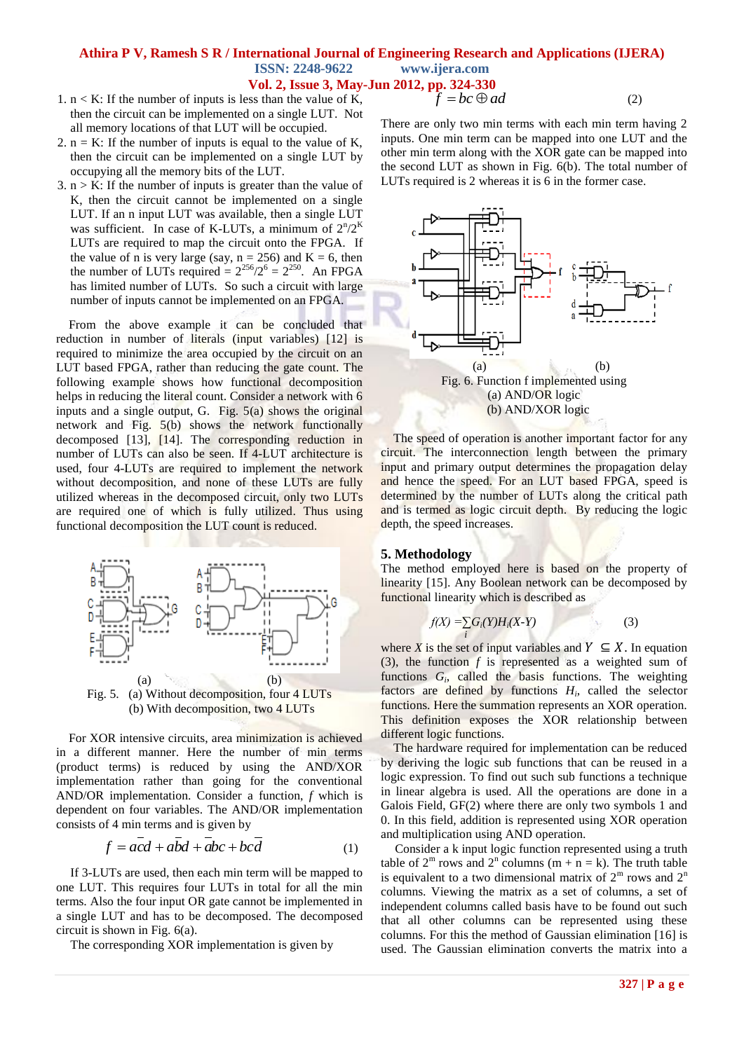#### **Vol. 2, Issue 3, May-Jun 2012, pp. 324-330**  $f = bc \oplus ad$

- 1.  $n < K$ : If the number of inputs is less than the value of K, then the circuit can be implemented on a single LUT. Not all memory locations of that LUT will be occupied.
- 2.  $n = K$ : If the number of inputs is equal to the value of K, then the circuit can be implemented on a single LUT by occupying all the memory bits of the LUT.
- $3. n > K$ : If the number of inputs is greater than the value of K, then the circuit cannot be implemented on a single LUT. If an n input LUT was available, then a single LUT was sufficient. In case of K-LUTs, a minimum of  $2^{n}/2^{K}$ LUTs are required to map the circuit onto the FPGA. If the value of n is very large (say,  $n = 256$ ) and  $K = 6$ , then the number of LUTs required =  $2^{256}/2^6 = 2^{250}$ . An FPGA has limited number of LUTs. So such a circuit with large number of inputs cannot be implemented on an FPGA.

From the above example it can be concluded that reduction in number of literals (input variables) [12] is required to minimize the area occupied by the circuit on an LUT based FPGA, rather than reducing the gate count. The following example shows how functional decomposition helps in reducing the literal count. Consider a network with 6 inputs and a single output, G. Fig. 5(a) shows the original network and Fig. 5(b) shows the network functionally decomposed [13], [14]. The corresponding reduction in number of LUTs can also be seen. If 4-LUT architecture is used, four 4-LUTs are required to implement the network without decomposition, and none of these LUTs are fully utilized whereas in the decomposed circuit, only two LUTs are required one of which is fully utilized. Thus using functional decomposition the LUT count is reduced.



For XOR intensive circuits, area minimization is achieved in a different manner. Here the number of min terms (product terms) is reduced by using the AND/XOR implementation rather than going for the conventional AND/OR implementation. Consider a function, *f* which is dependent on four variables. The AND/OR implementation consists of 4 min terms and is given by

$$
f = acd + abd + abc + bcd \tag{1}
$$

If 3-LUTs are used, then each min term will be mapped to one LUT. This requires four LUTs in total for all the min terms. Also the four input OR gate cannot be implemented in a single LUT and has to be decomposed. The decomposed circuit is shown in Fig. 6(a).

The corresponding XOR implementation is given by

There are only two min terms with each min term having 2 inputs. One min term can be mapped into one LUT and the other min term along with the XOR gate can be mapped into the second LUT as shown in Fig. 6(b). The total number of LUTs required is 2 whereas it is 6 in the former case.

(2)



The speed of operation is another important factor for any circuit. The interconnection length between the primary input and primary output determines the propagation delay and hence the speed. For an LUT based FPGA, speed is determined by the number of LUTs along the critical path and is termed as logic circuit depth. By reducing the logic depth, the speed increases.

#### **5. Methodology**

The method employed here is based on the property of linearity [15]. Any Boolean network can be decomposed by functional linearity which is described as

$$
f(X) = \sum_{i} G_i(Y)H_i(X-Y)
$$
 (3)

where *X* is the set of input variables and  $Y \subseteq X$ . In equation (3), the function *f* is represented as a weighted sum of functions  $G_i$ , called the basis functions. The weighting factors are defined by functions  $H_i$ , called the selector functions. Here the summation represents an XOR operation. This definition exposes the XOR relationship between different logic functions.

The hardware required for implementation can be reduced by deriving the logic sub functions that can be reused in a logic expression. To find out such sub functions a technique in linear algebra is used. All the operations are done in a Galois Field, GF(2) where there are only two symbols 1 and 0. In this field, addition is represented using XOR operation and multiplication using AND operation.

Consider a k input logic function represented using a truth table of  $2^m$  rows and  $2^n$  columns  $(m + n = k)$ . The truth table is equivalent to a two dimensional matrix of  $2^m$  rows and  $2^n$ columns. Viewing the matrix as a set of columns, a set of independent columns called basis have to be found out such that all other columns can be represented using these columns. For this the method of Gaussian elimination [16] is used. The Gaussian elimination converts the matrix into a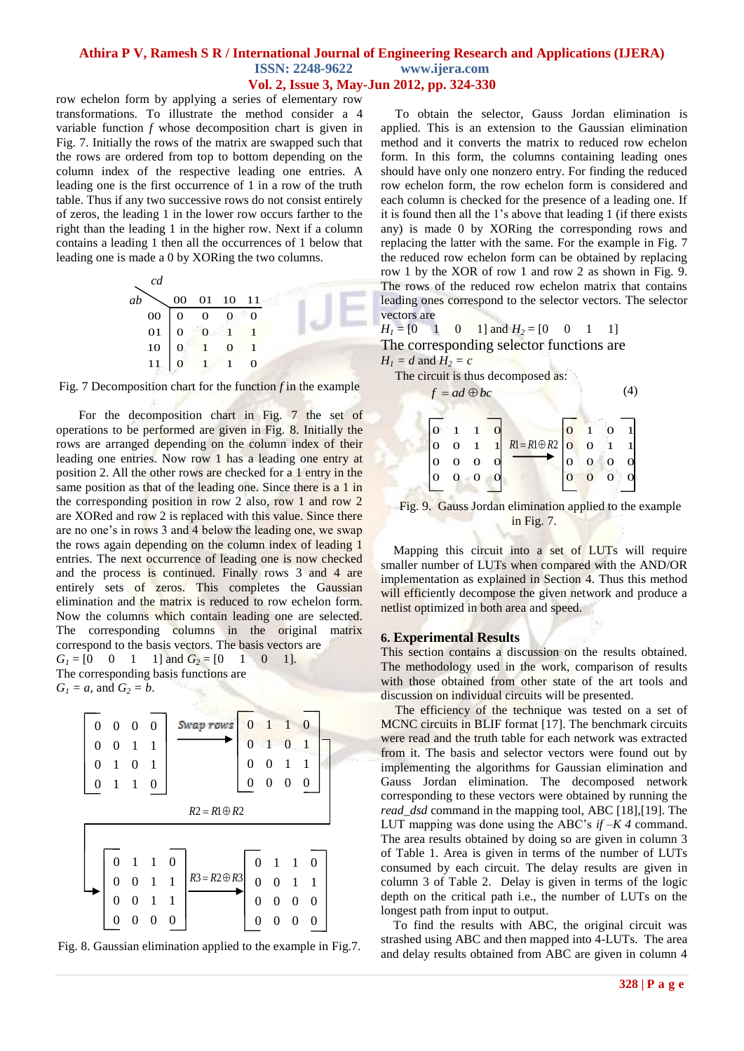# **Vol. 2, Issue 3, May-Jun 2012, pp. 324-330**

row echelon form by applying a series of elementary row transformations. To illustrate the method consider a 4 variable function *f* whose decomposition chart is given in Fig. 7. Initially the rows of the matrix are swapped such that the rows are ordered from top to bottom depending on the column index of the respective leading one entries. A leading one is the first occurrence of 1 in a row of the truth table. Thus if any two successive rows do not consist entirely of zeros, the leading 1 in the lower row occurs farther to the right than the leading 1 in the higher row. Next if a column contains a leading 1 then all the occurrences of 1 below that leading one is made a 0 by XORing the two columns.





For the decomposition chart in Fig. 7 the set of operations to be performed are given in Fig. 8. Initially the rows are arranged depending on the column index of their leading one entries. Now row 1 has a leading one entry at position 2. All the other rows are checked for a 1 entry in the same position as that of the leading one. Since there is a 1 in the corresponding position in row 2 also, row 1 and row 2 are XORed and row 2 is replaced with this value. Since there are no one's in rows 3 and 4 below the leading one, we swap the rows again depending on the column index of leading 1 entries. The next occurrence of leading one is now checked and the process is continued. Finally rows 3 and 4 are entirely sets of zeros. This completes the Gaussian elimination and the matrix is reduced to row echelon form. Now the columns which contain leading one are selected. The corresponding columns in the original matrix correspond to the basis vectors. The basis vectors are

$$
G1 = [0 \t 0 \t 1 \t 1] and G2 = [0 \t 1 \t 0 \t 1].
$$
  
The corresponding basis functions are  

$$
G1 = a, and G2 = b.
$$



Fig. 8. Gaussian elimination applied to the example in Fig.7.

To obtain the selector, Gauss Jordan elimination is applied. This is an extension to the Gaussian elimination method and it converts the matrix to reduced row echelon form. In this form, the columns containing leading ones should have only one nonzero entry. For finding the reduced row echelon form, the row echelon form is considered and each column is checked for the presence of a leading one. If it is found then all the 1's above that leading 1 (if there exists any) is made 0 by XORing the corresponding rows and replacing the latter with the same. For the example in Fig. 7 the reduced row echelon form can be obtained by replacing row 1 by the XOR of row 1 and row 2 as shown in Fig. 9. The rows of the reduced row echelon matrix that contains leading ones correspond to the selector vectors. The selector vectors are

 $H_1 = \begin{bmatrix} 0 & 1 & 0 & 1 \end{bmatrix}$  and  $H_2 = \begin{bmatrix} 0 & 0 & 1 & 1 \end{bmatrix}$ The corresponding selector functions are  $H_1 = d$  and  $H_2 = c$ 

The circuit is thus decomposed as:

| $f = ad \oplus bc$ |  |              |                |                       |          |                               |  |  |  |  |
|--------------------|--|--------------|----------------|-----------------------|----------|-------------------------------|--|--|--|--|
| O                  |  | $\mathbf{1}$ |                |                       | О        |                               |  |  |  |  |
| $\overline{0}$     |  | $\mathbf{1}$ | $1\vert$       | $R1 = R1 \oplus R2$ O |          | $\overline{0}$ $\overline{1}$ |  |  |  |  |
| $\overline{0}$     |  |              | $\overline{O}$ |                       | O        | O                             |  |  |  |  |
| $\Omega$           |  |              |                |                       | $\Omega$ |                               |  |  |  |  |
|                    |  |              |                |                       |          |                               |  |  |  |  |

#### Fig. 9. Gauss Jordan elimination applied to the example in Fig. 7.

Mapping this circuit into a set of LUTs will require smaller number of LUTs when compared with the AND/OR implementation as explained in Section 4. Thus this method will efficiently decompose the given network and produce a netlist optimized in both area and speed.

#### **6. Experimental Results**

This section contains a discussion on the results obtained. The methodology used in the work, comparison of results with those obtained from other state of the art tools and discussion on individual circuits will be presented.

The efficiency of the technique was tested on a set of MCNC circuits in BLIF format [17]. The benchmark circuits were read and the truth table for each network was extracted from it. The basis and selector vectors were found out by implementing the algorithms for Gaussian elimination and Gauss Jordan elimination. The decomposed network corresponding to these vectors were obtained by running the *read\_dsd* command in the mapping tool, ABC [18],[19]. The LUT mapping was done using the ABC's *if –K 4* command. The area results obtained by doing so are given in column 3 of Table 1. Area is given in terms of the number of LUTs consumed by each circuit. The delay results are given in column 3 of Table 2. Delay is given in terms of the logic depth on the critical path i.e., the number of LUTs on the longest path from input to output.

To find the results with ABC, the original circuit was strashed using ABC and then mapped into 4-LUTs. The area and delay results obtained from ABC are given in column 4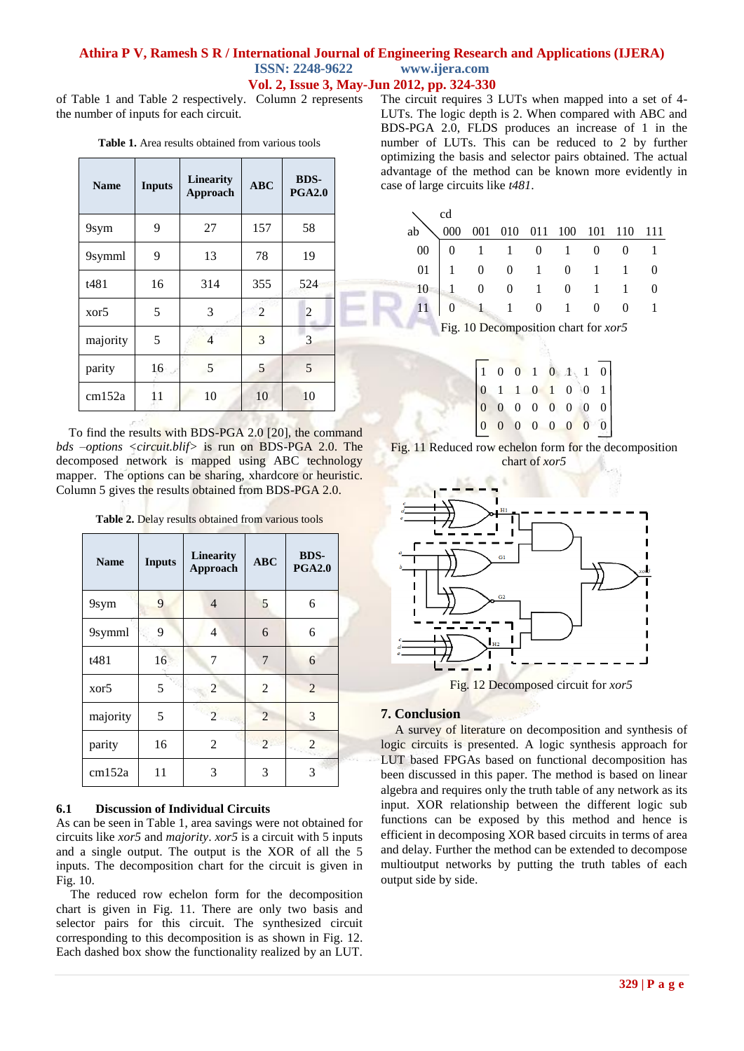## **Athira P V, Ramesh S R / International Journal of Engineering Research and Applications (IJERA) ISSN: 2248-9622 www.ijera.com Vol. 2, Issue 3, May-Jun 2012, pp. 324-330**

of Table 1 and Table 2 respectively. Column 2 represents the number of inputs for each circuit.

| <b>Table 1.</b> Area results obtained from various tools |  |  |
|----------------------------------------------------------|--|--|
|----------------------------------------------------------|--|--|

| <b>Inputs</b><br><b>Name</b> |    | Linearity<br>Approach | <b>ABC</b>     | <b>BDS-</b><br><b>PGA2.0</b> |  |
|------------------------------|----|-----------------------|----------------|------------------------------|--|
| 9sym                         | 9  | 27                    | 157            | 58                           |  |
| 9symml                       | 9  | 13                    | 78             | 19                           |  |
| t481                         | 16 | 314                   | 355            | 524                          |  |
| 5<br>xor <sub>5</sub>        |    | 3                     | $\overline{2}$ | 2                            |  |
| majority                     | 5  | 4                     | 3              | 3                            |  |
| 16<br>parity                 |    | 5                     | 5              | 5                            |  |
| 11<br>cm152a                 |    | 10                    | 10             | 10                           |  |

To find the results with BDS-PGA 2.0 [20], the command *bds –options <circuit.blif>* is run on BDS-PGA 2.0. The decomposed network is mapped using ABC technology mapper. The options can be sharing, xhardcore or heuristic. Column 5 gives the results obtained from BDS-PGA 2.0.

**Table 2.** Delay results obtained from various tools

| <b>Name</b>      | <b>Inputs</b> | <b>Linearity</b><br>Approach | <b>ABC</b>     | <b>BDS-</b><br><b>PGA2.0</b> |
|------------------|---------------|------------------------------|----------------|------------------------------|
| 9sym             | 9             | $\overline{4}$               | 5              | 6                            |
| 9symml           | 9             | 4                            | 6              | 6                            |
| t481             | 16            | 7                            | $\overline{7}$ | 6                            |
| xor <sub>5</sub> | 5             | $\overline{2}$               | $\overline{2}$ | $\overline{2}$               |
| majority         | 5             | $\mathfrak{D}$               | $\overline{2}$ | 3                            |
| parity           | 16            | 2                            | $\overline{2}$ | 2                            |
| cm152a           | 11            | 3                            | 3              | 3                            |

#### **6.1 Discussion of Individual Circuits**

As can be seen in Table 1, area savings were not obtained for circuits like *xor5* and *majority*. *xor5* is a circuit with 5 inputs and a single output. The output is the XOR of all the 5 inputs. The decomposition chart for the circuit is given in Fig. 10.

The reduced row echelon form for the decomposition chart is given in Fig. 11. There are only two basis and selector pairs for this circuit. The synthesized circuit corresponding to this decomposition is as shown in Fig. 12. Each dashed box show the functionality realized by an LUT. The circuit requires 3 LUTs when mapped into a set of 4- LUTs. The logic depth is 2. When compared with ABC and BDS-PGA 2.0, FLDS produces an increase of 1 in the number of LUTs. This can be reduced to 2 by further optimizing the basis and selector pairs obtained. The actual advantage of the method can be known more evidently in case of large circuits like *t481*.

|    | cd |                                                                                                                                                                                                       |  |  |  |
|----|----|-------------------------------------------------------------------------------------------------------------------------------------------------------------------------------------------------------|--|--|--|
| ab |    | 001 010 011 100 101 110 111                                                                                                                                                                           |  |  |  |
|    |    | $\begin{tabular}{ c cccc } \hline 0 & 0 & 1 & 1 & 0 & 1 & 0 & 0 \\ \hline 01 & 1 & 0 & 0 & 1 & 0 & 1 & 1 \\ 10 & 1 & 0 & 0 & 1 & 0 & 1 & 1 \\ 11 & 0 & 1 & 1 & 0 & 1 & 0 & 0 \\ \hline \end{tabular}$ |  |  |  |
|    |    |                                                                                                                                                                                                       |  |  |  |
|    |    |                                                                                                                                                                                                       |  |  |  |
|    |    |                                                                                                                                                                                                       |  |  |  |
|    |    | Fig. 10 Decomposition chart for xor5                                                                                                                                                                  |  |  |  |

|  |  |  |  | $\begin{bmatrix} 1 & 0 & 0 & 1 & 0 & 1 & 1 & 0 \\ 0 & 1 & 1 & 0 & 1 & 0 & 0 & 1 \\ 0 & 0 & 0 & 0 & 0 & 0 & 0 & 0 \\ 0 & 0 & 0 & 0 & 0 & 0 & 0 & 0 \\ 0 & 0 & 0 & 0 & 0 & 0 & 0 & 0 \end{bmatrix}$ |
|--|--|--|--|---------------------------------------------------------------------------------------------------------------------------------------------------------------------------------------------------|
|  |  |  |  |                                                                                                                                                                                                   |
|  |  |  |  |                                                                                                                                                                                                   |
|  |  |  |  |                                                                                                                                                                                                   |





Fig. 12 Decomposed circuit for *xor5*

#### **7. Conclusion**

A survey of literature on decomposition and synthesis of logic circuits is presented. A logic synthesis approach for LUT based FPGAs based on functional decomposition has been discussed in this paper. The method is based on linear algebra and requires only the truth table of any network as its input. XOR relationship between the different logic sub functions can be exposed by this method and hence is efficient in decomposing XOR based circuits in terms of area and delay. Further the method can be extended to decompose multioutput networks by putting the truth tables of each output side by side.